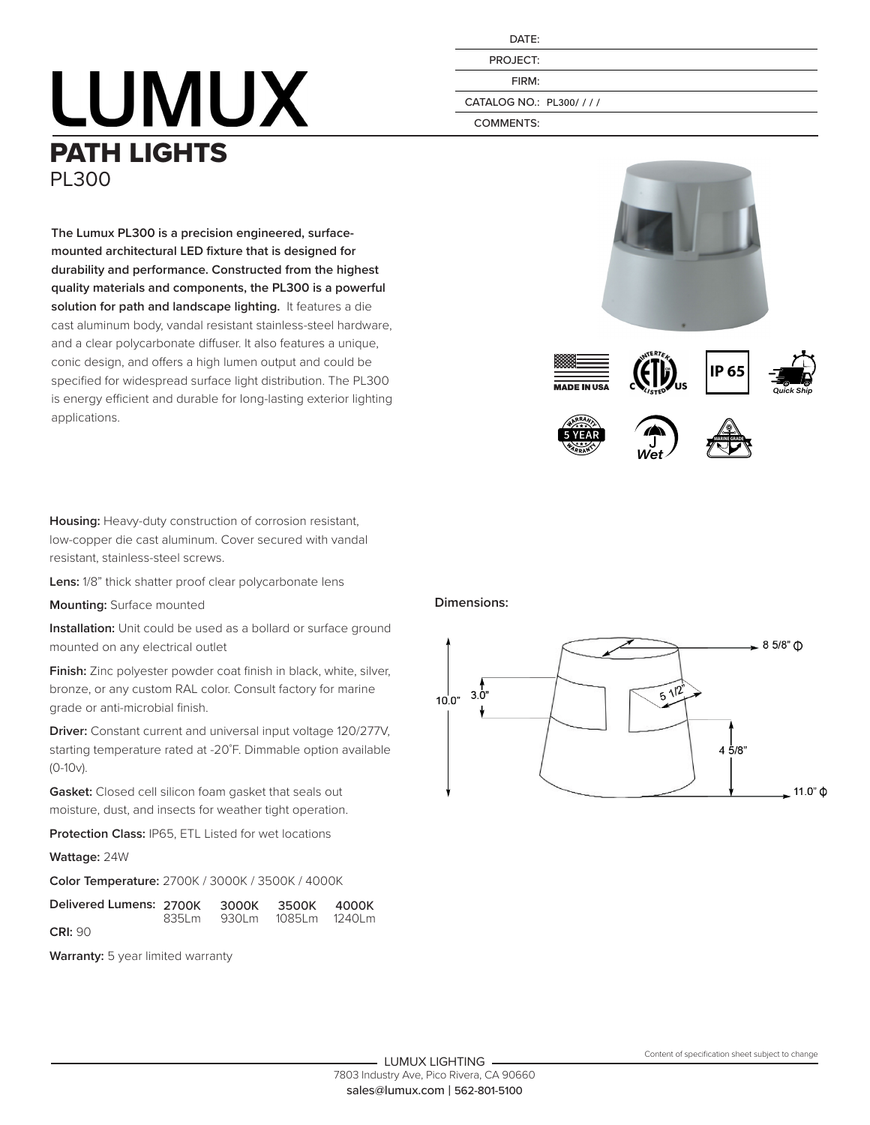## **LUMUX** PATH LIGHTS PL300

**The Lumux PL300 is a precision engineered, surfacemounted architectural LED fixture that is designed for durability and performance. Constructed from the highest quality materials and components, the PL300 is a powerful solution for path and landscape lighting.** It features a die cast aluminum body, vandal resistant stainless-steel hardware, and a clear polycarbonate diffuser. It also features a unique, conic design, and offers a high lumen output and could be specified for widespread surface light distribution. The PL300 is energy efficient and durable for long-lasting exterior lighting

| DATF:    |
|----------|
| PROJECT: |
| FIRM:    |
|          |

CATALOG NO.: PL300/ / / /

COMMENTS:











**Housing:** Heavy-duty construction of corrosion resistant, low-copper die cast aluminum. Cover secured with vandal resistant, stainless-steel screws.

**Lens:** 1/8" thick shatter proof clear polycarbonate lens

**Mounting:** Surface mounted

applications.

**Installation:** Unit could be used as a bollard or surface ground mounted on any electrical outlet

**Finish:** Zinc polyester powder coat finish in black, white, silver, bronze, or any custom RAL color. Consult factory for marine grade or anti-microbial finish.

**Driver:** Constant current and universal input voltage 120/277V, starting temperature rated at -20˚F. Dimmable option available (0-10v).

**Gasket:** Closed cell silicon foam gasket that seals out moisture, dust, and insects for weather tight operation.

**Protection Class:** IP65, ETL Listed for wet locations

**Wattage:** 24W

**Color Temperature:** 2700K / 3000K / 3500K / 4000K

| Delivered Lumens: 2700K 3000K 3500K 4000K |  |                           |  |
|-------------------------------------------|--|---------------------------|--|
| <b>CRI: 90</b>                            |  | 835Lm 930Lm 1085Lm 1240Lm |  |

**Warranty:** 5 year limited warranty

## **Dimensions:**